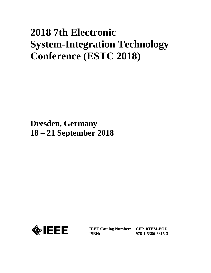# **2018 7th Electronic System-Integration Technology Conference (ESTC 2018)**

**Dresden, Germany 18 – 21 September 2018**



**IEEE Catalog Number: CFP18TEM-POD ISBN:** 

**978-1-5386-6815-3**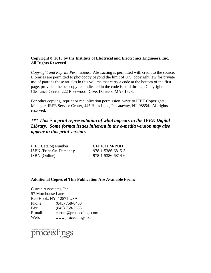# **Copyright © 2018 by the Institute of Electrical and Electronics Engineers, Inc. All Rights Reserved**

*Copyright and Reprint Permissions*: Abstracting is permitted with credit to the source. Libraries are permitted to photocopy beyond the limit of U.S. copyright law for private use of patrons those articles in this volume that carry a code at the bottom of the first page, provided the per-copy fee indicated in the code is paid through Copyright Clearance Center, 222 Rosewood Drive, Danvers, MA 01923.

For other copying, reprint or republication permission, write to IEEE Copyrights Manager, IEEE Service Center, 445 Hoes Lane, Piscataway, NJ 08854. All rights reserved.

# *\*\*\* This is a print representation of what appears in the IEEE Digital Library. Some format issues inherent in the e-media version may also appear in this print version.*

| <b>IEEE Catalog Number:</b> | CFP18TEM-POD      |
|-----------------------------|-------------------|
| ISBN (Print-On-Demand):     | 978-1-5386-6815-3 |
| ISBN (Online):              | 978-1-5386-6814-6 |

## **Additional Copies of This Publication Are Available From:**

Curran Associates, Inc 57 Morehouse Lane Red Hook, NY 12571 USA Phone: (845) 758-0400 Fax: (845) 758-2633 E-mail: curran@proceedings.com Web: www.proceedings.com

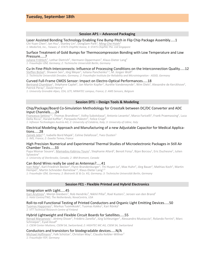#### **Session AP1 – Advanced Packaging**

#### Laser Assisted Bonding Technology Enabling Fine Bump Pitch in Flip Chip Package Assembly.....1

Chi-Yuan Chen<sup>1</sup>, Ian Hsu<sup>1</sup>, Stanley Lin<sup>1</sup>, DongSam Park<sup>2</sup>, Ming-Che Hsieh<sup>3</sup>

*1: MediaTek, Inc., Taiwan; 2: STATS ChipPAC Korea; 3: STATS ChipPAC Pte. Ltd Singapore* 

#### Surface Treatment of Gold Bumps for Thermocompression Bonding with Low Temperature and Low Pressure.....7

Juliane Fröhlich<sup>1</sup>, Lothar Dietrich<sup>1</sup>, Hermann Oppermann<sup>1</sup>, Klaus-Dieter Lang<sup>2</sup> *1: Fraunhofer IZM, Germany; 2: Technische Universität Berlin, Germany* 

#### Cu-In Fine-Pitch-Interconnects: Influence of Processing Conditions on the Interconnection Quality.....12

Steffen Bickel<sup>1</sup>, Shawon Sen<sup>1</sup>, Jörg Meyer<sup>1</sup>, Iuliana Panchenko<sup>1.2</sup>, M. Jürgen Wolf<sup>2</sup> *1: Technische Universität Dresden, Germany; 2: Fraunhofer Institute for Reliability and Microintegration - ASSID, Germany* 

#### Curved Full-Frame CMOS Sensor: Impact on Electro-Optical Performances.....18

Bertrand Chambion<sup>1</sup>, Stéphane Caplet<sup>1</sup>, Jan Martin Kopfer<sup>2</sup>, Aurélie Vandeneynde<sup>1</sup>, Wim Diels<sup>2</sup>, Alexandre de Kerckhove<sup>2</sup>, Patrick Peray<sup>1</sup>, David Henry<sup>1</sup>

*1: University Grenoble Alpes, CEA, LETI, MINATEC campus, France; 2: AMS Sensors, Belgium* 

#### **Session DT1 – Design Tools & Modeling**

#### Chip/Package/Board Co-Simulation Methodology for Crosstalk between DC/DC Converter and ADC Input Channels.....24

Francesco Settino<sup>1,2</sup>, Thomas Brandtner<sup>1</sup>, Volha Subotskaya<sup>1</sup>, Antonio Levanto<sup>1</sup>, Marco Faricelli<sup>1</sup>, Frank Praemassing<sup>1</sup>, Luca Della Ricca<sup>1</sup>, Harald Koffler<sup>1</sup>, Pierpaolo Palestri<sup>3</sup>, Felice Crupi<sup>2</sup>

*1: Infineon Technologies Austria AG; 2: University of Calabria, Italy; 3: University of Udine, Italy* 

#### Electrical Modeling Approach and Manufacturing of a new Adjustable Capacitor for Medical Applications.....28

Zaineb Jebri<sup>1,2</sup>, Isabelle Bord Majek<sup>1</sup>, Celine Delafosse<sup>2</sup>, Yves Ousten<sup>1</sup> *1: IMS, France; 2: Exxelia Temex, France* 

#### High Precision Numerical and Experimental Thermal Studies of Microelectronic Packages in Still Air Chamber Tests.....33

Papa Momar Souare<sup>1</sup>, <u>Mamadou Kabirou Toure</u><sup>1</sup>, Stephanie Allard<sup>2</sup>, Benoit Foisy<sup>2</sup>, Bijan Borzou<sup>1</sup>, Eric Duchesne<sup>2</sup>, Julien Sylvestre<sup>1</sup>

*1: University of Sherbrooke, Canada; 2: IBM Bromont, Canada*

#### Can Bond Wires really be used as Antennas?.....41

lvan Ndip<sup>1</sup>, Karl-Friedrich Becker<sup>1</sup>, Flynn Brandenburger<sup>1</sup>, Thi Huyen Le<sup>1</sup>, Max Huhn<sup>2</sup>, Jörg Bauer<sup>1</sup>, Mathias Koch<sup>1</sup>, Martin Hempel<sup>1</sup>, Martin Schneider-Ramelow<sup>1,3</sup>, Klaus-Dieter Lang<sup>1,3</sup>

*1: Fraunhofer IZM, Germany; 2: Biotronik SE & Co. KG, Germany; 3: Technische Universität Berlin, Germany* 

#### **Session FE1 - Flexible Printed and Hybrid Electronics**

#### Integration with Light.....45

Gari Arutinov<sup>1</sup>, Merijn Giesbers<sup>1</sup>, Rob Hendriks<sup>2</sup>, Nikhil Pillai<sup>2</sup>, Roel Kusters<sup>1</sup>, Jeroen van den Brand<sup>1</sup> *1: Holst Centre/TNO, The Netherlands; NovaCentrix, USA* 

#### Roll-to-roll Functional Testing of Printed Conductors and Organic Light Emitting Devices.....50

<u>Tuomas Happonen<sup>1</sup>, Markus Tuomikoski<sup>1</sup>, Tuomas Kokko<sup>1</sup>, Kari Rönkä<sup>1</sup></u> *1: VTT Technical Research Centre of Finland* 

#### Hybrid Lightweight and Flexible Circuit Boards for Satellites.....55

Nenad Marjanovic<sup>1</sup>, Jérémy Disser<sup>1</sup>, Frédéric Zanella<sup>1</sup>, Jürg Schleuniger<sup>1</sup>, Alessandro Mustaccio<sup>1</sup>, Rolando Ferrini<sup>1</sup>, Marc Schnieper<sup>1</sup>, Eyad Assaf<sup>2</sup>

*1: CSEM Center Muttenz, CSEM SA, Switzerland; 2: HIGHTEC MC AG, CSEM SA, Switzerland* 

#### Conductors and transistors for biodegradable devices.....N/A

Michael Hoffmann<sup>1</sup>, Falk Schütze<sup>1</sup>, Christian May<sup>1</sup>, Claudia Keibler-Willner<sup>1</sup> *1: Fraunhofer FEP, Germany*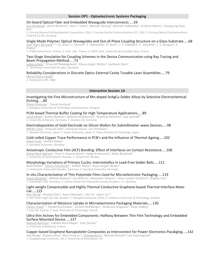#### **Session OP1 - Optoelectronic Systems Packaging**

#### On-board Optical Fiber and Embedded Waveguide Interconnects.....59

Lars Brusberg<sup>1</sup>, Ulrich Neukirch<sup>1</sup>, Alan F. Evans<sup>1</sup>, Michael DeJong<sup>2</sup>, Michael Yadlowsky<sup>2</sup>, Andreas Matiss<sup>3</sup>, Changsung Sean  $Kim<sup>1</sup>$ 

*1: Corning Research & Development Corporation, USA; 2: Corning Optical Communications LCC, USA; 3: Corning Optical Communications GmbH & Co.KG, Germany* 

#### Single Mode Polymer Optical Waveguides and Out-of-Plane Coupling Structure on a Glass Substrate.....68

Jean-Marc Boucaud<sup>1,2,3</sup>, Q. Hivin<sup>2</sup>, C. Durand<sup>1</sup>, F. Gianesello<sup>1</sup>, D. Bucci<sup>3</sup>, J.-F. Robillard<sup>2</sup>, F. Vaurette<sup>2</sup>, J.-E. Broquin<sup>3</sup>, E. Dubois<sup>2</sup>

*1: STMicroelectronics, France; 2: Univ. Lille, France; 3: IMEP-LaHC, Université de Grenoble Alpes, France* 

#### Two-Stage Simulation for Coupling Schemes in the Device Communication using Ray Tracing and Beam Propagation Method.....73

Lukas Lorenz<sup>1</sup>, Krzysztof Nieweglowski<sup>1</sup>, Klaus-Jürgen Wolter<sup>1</sup>, Karlheinz Bock<sup>1</sup> *1: Technische Universität Dresden, Germany* 

## Reliability Considerations in Discrete Optics External Cavity Tunable Laser Assemblies.....79

Maria Chiara Ubaldi<sup>1</sup>

*1: Fondazione CIFE, Italy*

## **Interactive Session 1A**

#### Investigating the Fine Microstructure of Mn-doped SnAgCu Solder Alloys by Selective Electrochemical Etching.....84

Oliver Krammer<sup>1</sup>, Tamás Hurtony<sup>1</sup>

*1: Budapest University of Technology and Economics, Hungary* 

#### PCM-based Thermal Buffer Coating for High Temperature Applications.....89

J<u>acob Maxa<sup>1</sup>,</u> Andrej Novikov<sup>1</sup>, Mathias Nowottnick<sup>1</sup>, Matthias Heimann<sup>2</sup>, Kay Jarchoff<sup>2</sup> *1: University of Rostock, Germany; 2: Siemens AG, Germany* 

#### Electrodeposition of Gold Electrode on Silicon Wafers for Submillimeter-wave Devices.....98

Mikiko Saito<sup>1</sup>, Hiroyuki Seto<sup>2</sup>, Yoshiyuki Inoue<sup>2</sup>, Jiro Hirokawa<sup>3</sup> *1: Waseda University, Japan; 2: Kyoto University, Japan; 3: Tokyo Institute of Technology, Japan* 

#### Cold-rolled Copper Trace Performance in PCB's and the Influence of Thermal Ageing.....102 <u>Adam Yuile<sup>1</sup>,</u> Steffen Wiese<sup>1</sup>

*1: Saarland University, Germany* 

#### Anisotropic Conductive Film (ACF) Bonding: Effect of Interfaces on Contact Resistance.....106 Giang Minh Nghiem<sup>1</sup>, Knut E. Aasmundtveit<sup>1</sup>, Helge Kristiansen<sup>2</sup>, Molly Bazilchuk<sup>2</sup> *1: University of South-Eastern Norway; 2: Conpart AS, Norway*

Morphology Variations of Primary Cu<sub>6</sub>Sn<sub>5</sub> Intermetallics in Lead-Free Solder Balls.....111 Maik Müller<sup>1</sup>, <u>Iuliana Panchenko</u><sup>1</sup>, Steffen Wiese<sup>2</sup>, Klaus-Jürgen Wolter<sup>1</sup> *1: Technische Universität Dresden, Germany; 2: Saarland University, Germany* 

In-situ Characterization of Thin Polyimide Films Used for Microelectronic Packaging.....119

Frank Windrich<sup>1</sup>, Mikhail Malanin<sup>2</sup>, Eva Bittrich<sup>2</sup>, Alexander Schwarz<sup>1</sup>, Klaus-Jochen Eichhorn<sup>2</sup>, Brigitte Voit<sup>2</sup> *1: Fraunhofer IZM, Germany; 2: Leibniz-Institut für Polymerforschung Dresden e. V., Germany* 

#### Light-weight Compressible and Highly Thermal Conductive Graphene-based Thermal Interface Material.....125

Nan Wang<sup>1</sup>, Shujing Chen<sup>2</sup>, Amos Nkansah<sup>1</sup>, Lilei Ye<sup>1</sup>, Johan Liu<sup>2,3</sup> *1: SHT Smart High Tech AB, Sweden; 2: Shanghai University, China; 3: Chalmers University of Technology, Sweden* 

#### Characterization of Moisture Uptake in Microelectronics Packaging Materials.....130

Fabian Huber<sup>1,2</sup>, Harald Etschmaier<sup>1</sup>, Archim Wolfberger<sup>1</sup>, Anderson Singulani<sup>1</sup>, Peter Hadley<sup>2</sup> *1: ams AG, Austria; 2: Graz University of Technology, Austria* 

#### Ultra-thin Actives for Embedded Components: Halfway Between Thin Film Technology and Embedded Surface Mounted Device.....137

Mickael Balmont<sup>1</sup>, Isabelle Bord Majek<sup>1</sup>, Yves Ousten<sup>1</sup> *1: University of Bordeaux, France* 

#### Copper-based Graphene Nanoplatelet Composites as Interconnect for Power Electronics Pacakging.....142

Jing Wang<sup>1</sup>, Zhaoxia Zhou<sup>1</sup>, Wen-Feng Lin<sup>1</sup>, Changqing Liu<sup>1</sup>, Behzad Ahmadi<sup>2</sup>, Lee Empringham<sup>2</sup> *1: Loughborough University, UK; 2: University of Nottingham, UK*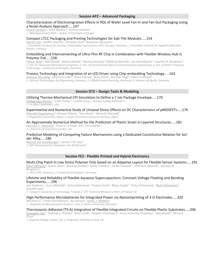#### Characterization of Electromigration Effects in RDL of Wafer Level Fan-In and Fan-Out Packaging Using a Novel Analysis Approach.....147

<u>André Cardoso<sup>1</sup>, Sofia Martins<sup>1</sup>, Andrea Gouvea<sup>1</sup></u> *1: R&D Department ATEP – Amkor Technologies Portugal* 

#### Compact LTCC Packaging and Printing Technologies for Sub-THz Modules.....154

Martin Ihle<sup>1</sup>, Steffen Ziesche<sup>1</sup>, Christian Zech<sup>2</sup>, Benjamin Baumann<sup>2</sup> *1: Fraunhofer Institute for Ceramic Technologies and Systems IKTS, Dresden, Germany; 2: Fraunhofer Institute for Applied Solid State Physics, Freiburg* 

#### Embedding and Interconnecting of Ultra-Thin RF Chip in Combination with Flexible Wireless Hub in Polymer Foil.....158

Golzar Alavi<sup>1</sup>, Sefa Özbek<sup>2</sup>, Mahsa Rasteh<sup>3</sup>, Markus Grözing<sup>2</sup>, Manfred Berroth<sup>2</sup>, Jan Hesselbarth<sup>3</sup>, Joachim N. Burghartz<sup>1</sup> *1: Inst. for Nano-and Microelectrical System, 2: Inst. of Electrical and Optical Communications Engineering, 3: Inst. of Radio Frequency Technology – University of Stuttgart, Germany* 

#### Process Technology and Integration of an LED Driver using Chip-embedding Technology.....163

Andreas Munding<sup>1</sup>, Martin Gruber<sup>1</sup>, Klaus Pressel<sup>1</sup>, Boris Plikat<sup>1</sup>, Michael Vogt<sup>2</sup>, Peter Fruehauf<sup>3</sup> *1: Infineon Technologies AG Regensburg, Germany; 2: OSRAM GmbH Garching, Germany; 3: Siemens AG Berlin, Germany* 

## **Session DT2 – Design Tools & Modeling**

Utilizing Thermo-Mechanical CPI Simulation to Define a 7 nm Package Envelope.....170

Thiagarajan Raman<sup>1</sup>, Scott Pozder<sup>1</sup>, Carole Graas<sup>1</sup>, Himani Suhag Kamineni<sup>1</sup> *1: GLOBALFOUNDRIES, USA* 

Experimental and Numerical Study of Uniaxial-Stress Effects on DC Characteristics of pMOSFETs.....176 Masaaki Koganemaru<sup>1</sup>, Kazuya Hidaka<sup>1</sup>, Toru Ikeda<sup>1</sup>, Noriyuki Miyazaki<sup>2</sup>

*1: Kagoshima University, Japan; 2: Green Electronics Research Institute, Japan* 

## An Approximate Numerical Method for the Prediction of Plastic Strain in Layered Structures.....181

<u>Kenneth C. Nwanoro $^1$ ,</u> Hua Lu $^1$ , Chuyan Yin $^1$ , Chris Bailey $^1$ *1: University of Greenwich London, UK* 

#### Predictive Modeling of Competing Failure Mechanisms using a Dedicated Constitutive Relation for Solder Alloy.....186

Michiel van Soestbergen<sup>1</sup>, Jeroen J.M. Zaal<sup>1</sup> *1: NXP Semiconductors Nijmegen, the Netherlands* 

#### **Session FE2 - Flexible Printed and Hybrid Electronics**

Multi-Chip Patch in Low Stress Polymer Foils based on an Adaptive Layout for Flexible Sensor Systems.....191 Björn Albrecht<sup>1</sup>, Golzar Alavi<sup>2</sup>, Mourad Elsobky<sup>1</sup>, Saleh Ferwana<sup>1</sup>, Ulrike Passlack<sup>1</sup>, Christine Harendt<sup>1</sup>, Joachim N. Burghartz1

*1: IMS CHIPS, Germany; 2: University of Stuttgart, Germany* 

#### Lifetime and Reliability of Flexible Aqueous Supercapacitors: Constant Voltage Floating and Bending Experiments.....196

Jari Keskinen<sup>1</sup>, Suvi Lehtimäki<sup>1</sup>, Anna Railanmaa<sup>1</sup>, Thomas Kraft<sup>1</sup>, Manu Kujala<sup>1</sup>, Terho Kololuoma<sup>2</sup>, <u>Matti Mäntysalo</u><sup>1</sup>, Donald Lupo<sup>1</sup>

*1: Tampere University of Technology, Finland; 2: VTT Technical Research Centre of Finland Ltd* 

#### High Performance Microbatteries for Integrated Power via Nanoimprinting of 3-D Electrodes.....202 Wenhao Li<sup>1</sup>, Troels Christiansen<sup>2</sup>, Bo Iversen<sup>2</sup>, James J. Watkins<sup>1</sup>

*1: University of Massachusetts Amherst, USA; 2: Aarhus University, Denmark* 

# Thermosonic-Adhesive (TS-A) Integration of Flexible Integrated Circuits on Flexible Plastic Substrates.....206

Guangbin Dou<sup>1</sup>, Andrew S. Holmes<sup>1</sup>, Brian Cobb<sup>2</sup>, Stephen Devenport<sup>2</sup>, Anna Jeziorska-Chapman<sup>2</sup>, Jake Meeth<sup>2</sup>, Richard Price<sup>2</sup>

*1: Imperial College London, UK; 2: PragmatIC Printing Limited, UK*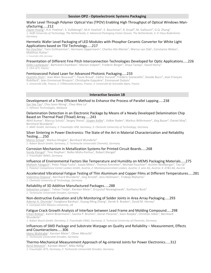#### **Session OP2 - Optoelectronic Systems Packaging**

#### Wafer Level Through Polymer Optical Vias (TPOV) Enabling High Throughput of Optical Windows Manufacturing.....212

 $\rm{Zigiao\ Huang^1,\ R.H.\ Poelma^1,\ S.~Vollebregt^1,\ M.H.\ Koelink^2,\ E.~Boschman^2,\ R.~Kropf^3,\ M.~Gallouch^3,\ G.Q.~Zhang^1}$ *1: Delft University of Technology, The Netherlands; 2: Advanced Packaging Center Duiven, The Netherlands; 3: iC-Haus Bodenheim, Germany* 

#### Hermetic Wafer Level Packaging of LED Modules with Phosphor Ceramic Converter for White Light Applications based on TSV Technology.....217

Kai Zoschke<sup>1</sup>, Yann Eichhammer<sup>1</sup>, Hermann Oppermann<sup>1</sup>, Charles-Alix Manier<sup>1</sup>, Marius van Dijk<sup>1</sup>, Constanze Weber<sup>1</sup>,<br>Matthias Hutter<sup>1</sup> Matthias Hutter<sup>1</sup>

*1: Fraunhofer IZM, Germany*

#### Presentation of Different Fine Pitch Interconnection Technologies Developed for Optic Applications.....226

Gilles Lasfargues<sup>1</sup>, Bertrand Chambion<sup>1</sup>, Marion Volpert<sup>1</sup>, Frederic Berger<sup>1</sup>, Divya Taneja<sup>1</sup>, David Henry<sup>1</sup> *1: CEA LETI, France* 

#### Femtosecond Pulsed Laser for Advanced Photonic Packaging.....233

Quentin Hivin<sup>1</sup>, Jean Marc Boucaud<sup>1,2</sup>, Flavie Braud<sup>1</sup>, Cédric Durand<sup>2</sup>, Frédéric Gianesello<sup>2</sup>, Davide Bucci<sup>3</sup>, Jean François Robillard<sup>1</sup>, Jean Emmanuel Broquin<sup>3</sup>, Christophe Gaquière<sup>1</sup>, Emmanuel Dubois<sup>1</sup> *1: Université Lille, France; 2: STMicroelectronics, France; 3: Université de Grenoble Alpes, France* 

#### **Interactive Session 1B**

#### Development of a Time Efficient Method to Enhance the Process of Parallel Lapping.....238

Sze Yee Tan<sup>1</sup>, Chiu Soon Wong<sup>1</sup>, Chea Wee Lo<sup>1</sup> *1: Infineon Technologies, Malaysia* 

#### Delamination Detection in an Electronic Package by Means of a Newly Developed Delamination Chip Based on Thermal Pixel (Thixel) Array.....243

Akhil Kumar<sup>1</sup>, Marcus Schulz<sup>1</sup>, Sergey Sheva<sup>1</sup>, <u>Jürgen Keller</u><sup>1</sup>, Volker Bader<sup>2</sup>, Markus Wöhrmann<sup>2</sup>, Jörg Bauer<sup>2</sup>, Daniel May<sup>3</sup>,<br>Bernhard Wunderle<sup>3</sup> Bernhard Wunderle<sup>3</sup>

*1: AMIC GmbH, Germany; 2: Fraunhofer IZM, Germany; 3: Chemnitz University of Technology, Germany* 

#### Silver Sintering in Power Electronics: The State of the Art in Material Characterization and Reliability Testing.....250

Marco Schaal<sup>1</sup>, Markus Klingler<sup>1</sup>, Bernhard Wunderle<sup>2</sup> *1: Robert Bosch GmbH, Germany; 2: Technische Universität Chemnitz, Germany* 

#### Corrosion Mechanism in Metallization Systems for Printed Circuit Boards.....268

Sandy Klengel<sup>1</sup>, Tino Stephan<sup>1</sup>, Bolko Mühs-Portius<sup>1</sup>, Robert Klengel<sup>1</sup> *1: Fraunhofer IMWS, Germany* 

#### Influence of Environmental Factors like Temperature and Humidity on MEMS Packaging Materials.....275

Mahesh Yalagach<sup>1</sup>, Peter Filipp Fuchs<sup>1</sup>, Ivaylo Mitev<sup>1</sup>, Thomas Antretter<sup>2</sup>, Michael Feuchter<sup>2</sup>, Archim Wolfberger<sup>3</sup>, Tao Qi<sup>4</sup> *1: Polymer Competence Center Leoben GmbH, Austria; 2: Montanuniversitaet Leoben, Austria; 3: ams AG, Austria; 4: AT&S AG, Austria* 

#### Accelerated Vibrational Fatigue Testing of Thin Aluminum and Copper Films at Different Temperatures.....281

Valentina Osipova<sup>1</sup>, Bernhard Wunderle<sup>1</sup>, Jörg Arnold<sup>1</sup>, Jens Heilmann<sup>1</sup>, Trideep Mahanta<sup>1</sup> *1: Chemnitz University of Technology, Germany* 

#### Reliability of 3D Additive Manufactured Packages.....288

Sebastian Lüngen<sup>1</sup>, Tobias Tiedje<sup>1</sup>, Karsten Meier<sup>1</sup>, Krzysztof Nieweglowski<sup>1</sup>, Karlheinz Bock<sup>1</sup> *1: Technische Universität Dresden, Germany* 

#### Non-destructive Evaluation and Life Monitoring of Solder Joints in Area Array Packaging.....293

Adeniyi A. Olumide<sup>1</sup>, Kangkana Baishya<sup>1</sup>, Guang-Ming Zhang<sup>1</sup>, Derek R. Braden<sup>1</sup>, David M. Harvey<sup>1</sup> *1: Liverpool John Moores University, UK* 

#### Fatigue Crack Growth Analysis of Interface between Lead Frame and Molding Compound.....298

Erkan Bektas<sup>1</sup>, Katrin Broermann<sup>1</sup>, Sascha P. Brumm<sup>1</sup>, Goran Pecanac<sup>1</sup>, Sven Rzepka<sup>2</sup>, Christian Silber<sup>1</sup>, Bernhard Wunderle<sup>3</sup>

*1: Robert Bosch GmbH, Germany; 2: Fraunhofer ENAS, Germany; 3: Technical University of Chemnitz, Germany* 

#### Influences of SMD Package and Substrate Warpage on Quality and Reliability – Measurement, Effects and Counteractions.....306

Heinz Wohlrabe<sup>1</sup>, Karsten Meier<sup>1</sup>, Oliver Albrecht<sup>1</sup> *1: Technische Universität Dresden, Germany* 

#### Thermo-Mechanical Measurement Approach of Ag-sintered Joints for Power Electronics.....312

René Metasch<sup>1</sup>, Karsten Meier<sup>2</sup>, Mike Röllig<sup>1</sup> *1: Fraunhofer IKTS, Germany; 2: Technische Universität Dresden, Germany*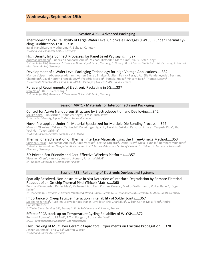#### **Session AP3 – Advanced Packaging**

#### Thermomechanical Reliability of Large Wafer Level Chip Scale Packages (LWLCSP) under Thermal Cycling Qualification Test.....318

Balaji Nandhivaram Muthuraman<sup>1</sup>, Baltazar Canete<sup>1</sup> *1: Dialog Semiconductor GmbH, Germany* 

#### High Density Interconnect Processes for Panel Level Packaging.....327

Andreas Ostmann<sup>1</sup>, Friedrich-Leonhard Schein<sup>2</sup>, Michael Dietterle<sup>3</sup>, Marc Kunz<sup>4</sup>, Klaus-Dieter Lang<sup>1</sup> *1: Fraunhofer IZM, Germany; 2: Technical University of Berlin, Germany; 3: Dr.-Ing. Max Schlötter GmbH & Co. KG, Germany; 4: Schmoll Maschinen GmbH, Germany* 

#### Development of a Wafer Level Packaging Technology for High Voltage Applications.....332

Marion Volpert<sup>1</sup>, Abdenacer Aitmani<sup>1</sup>, Adrien Gasse<sup>1</sup>, Brigitte Soulier<sup>1</sup>, Patrick Peray<sup>1</sup>, Aurélie Vandeneynde<sup>1</sup>, Bertrand Chambion<sup>1</sup>, David Henry<sup>1</sup>, François Levy<sup>1</sup>, Frédéric Mercier<sup>2</sup>, Pamela Rueda<sup>2</sup>, Vincent Beix<sup>2</sup>, Thomas Lacave<sup>2</sup> *1: Université Grenoble Alpes, CEA, LETI, MINATEC Campus, France; 2: ALEDIA SAS, France* 

#### Roles and Requirements of Electronic Packaging in 5G.....337

Ivan Ndip<sup>1</sup>, Klaus-Dieter Lang<sup>1,2</sup>

*1: Fraunhofer IZM, Germany; 2: Technische Universität Berlin, Germany* 

#### **Session MAT1 - Materials for Interconnects and Packaging**

#### Control for Au-Ag Nanoporous Structure by Electrodeposition and Dealloying.....342

Mikiko Saito<sup>1</sup>, Jun Mizuno<sup>1</sup>, Shunichi Koga<sup>2</sup>, Hiroshi Nishikawa<sup>2</sup> *1: Waseda University, Japan; 2: Osaka University, Japan* 

#### Novel Pre-applied Under-fill Material Specialized for Multiple Die Bonding Process.....347

Masashi Okaniwa<sup>1</sup>, Takenori Takiguchi<sup>1</sup>, Kohei Higashiguchi<sup>1</sup>, Takahito Sekido<sup>1</sup>, Katsutoshi Ihara<sup>1</sup>, Tsuyoshi Kida<sup>1</sup>, Shu Yoshida<sup>1</sup>, Toyoji Oshima<sup>1</sup>

*1: Mitsubishi Gas Chemical Company, Inc., Japan* 

#### Thermal Characterization of Thermal Interface Materials using the Three-Omega Method.....353

Corinna Grosse<sup>1</sup>, Mohamad Abo Ras<sup>1</sup>, Aapo Varpula<sup>2</sup>, Kestius Grigoras<sup>2</sup>, Daniel May<sup>3</sup>, Mika Prunnila<sup>2</sup>, Bernhard Wunderle<sup>3</sup> *1: Berliner Nanotest und Design GmbH, Germany; 2: VTT Technical Research Centre of Finland Ltd, Finland; 3: Technische Universität Chemnitz, Germany* 

#### 3D-Printed Eco-Friendly and Cost-Effective Wireless Platforms.....357

<u>Xiaochen Chen<sup>1</sup>, Han He<sup>1</sup>, Leena Ukkonen<sup>1</sup>, Johanna Virkki<sup>1</sup></u>

*1: Tampere University of Technology, Finland* 

#### **Session RE1 - Reliability of Electronic Devices and Systems**

#### Spatially Resolved, Non-destructive in-situ Detection of Interface Degradation by Remote Electrical Readout of an On-chip Thermal Pixel (Thixel) Matrix.....360

Bernhard Wunderle<sup>1</sup>, Daniel May<sup>1</sup>, Mohamad Abo Ras<sup>2</sup>, Corinna Grosse<sup>2</sup>, Markus Wöhrmann<sup>3</sup>, Volker Bader<sup>3</sup>, Jürgen Keller4

*1: TU Chemnitz, Germany; 2: Berliner Nanotest & Design GmbH, Germany; 3: Fraunhofer IZM, Germany; 4: AMIC GmbH, Germany* 

Importance of Creep Fatigue Interaction in Reliability of Solder Joints.....367

Stéphane Zanella<sup>1</sup>, Aurélien Lecavelier des Etangs-Levallois<sup>1</sup>, Eric Charkaluk<sup>2</sup>, Wilson Carlos Maia Filho<sup>1</sup>, Andrei Constantinescu<sup>2</sup>

*1: Thales Global Services SAS, France; 2: Ecole Polytechnique Palaiseau, France* 

#### Effect of PCB stack-up on Temperature Cycling Reliability of WLCSP.....372

Romuald Roucou<sup>1</sup>, J.J.M Zaal<sup>1</sup>, R.T.H. Rongen<sup>1</sup>, P.J. van der Wel<sup>1</sup> *1: NXP Semiconductors Nijmegen, The Netherlands* 

#### Flex Cracking of Multilayer Ceramic Capacitors: Experiments on Fracture Propagation.....378

Joseph Al Ahmar<sup>1</sup>, Erik Wiss<sup>1</sup>, <u>Steffen Wiese</u><sup>1</sup>

*1: Saarland University, Germany*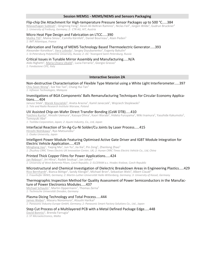#### **Session MEMS1 - MEMS/NEMS and Sensors Packaging**

#### Flip-chip Die Attachment for High-temperature Pressure Sensor Packages up to 500 °C.....384

Nilavazhagan Subbiah<sup>1</sup>, Qingming Feng<sup>1</sup>, Kevin Ali Beltran Ramirez<sup>1</sup>, Niclas Feil<sup>1</sup>, Jürgen Wilde<sup>1</sup>, Gudrun Bruckner<sup>2</sup> *1: University of Freiburg, Germany; 2: CTR AG, HIT, Austria* 

#### Micro Heat Pipe Design and Fabrication on LTCC.....390

<u>Malika Tlili</u><sup>1</sup>, Maïna Sinou<sup>1</sup>, Camilla Kärnfelt<sup>1</sup>, Daniel Bourreau<sup>1</sup>, Alain Peden<sup>1</sup> *1: IMT Atlantique, France* 

#### Fabrication and Testing of MEMS Technology Based Thermoelectric Generator.....393

Alexander Korotkov<sup>1</sup>, <u>Vera Loboda</u><sup>1</sup>, Sergey Dzyubanenko<sup>2</sup>, Evgeniy Bakulin<sup>2</sup> *1: St.Petersburg Polytechnic University, Russia; 2: JSC "Avangard Saint-Petersburg, Russia* 

#### Critical Issues in Tunable Mirror Assembly and Manufacturing.....N/A

Aldo Righetti<sup>1</sup>, <u>Maria Chiara Ubaldi</u><sup>1</sup>, Lucia Ferrario<sup>1</sup>, Giorgio Grasso<sup>1</sup> *1: Fondazione CIFE, Italy* 

#### **Interactive Session 2A**

#### Non-destructive Characterisation of Flexible Type Material using a White Light Interferometer.....397 Chiu Soon Wong<sup>1</sup>, Sze Yee Tan<sup>1</sup>, Chang Hui Tan<sup>1</sup>

*1: Infineon Technologies, Malaysia* 

#### Investigations of BGA Components' Balls Remanufacturing Techniques for Circular Economy Applications.....404

Janusz Sitek<sup>1</sup>, <u>Marek Koscielski</u><sup>1</sup>, Aneta Arazna<sup>1</sup>, Kamil Janeczek<sup>1</sup>, Wojciech Steplewski<sup>1</sup> *1: Tele and Radio Research Institute Warsaw, Poland* 

#### UV Assisted Chip-on-Wafer Direct Transfer Bonding (CoW DTB).....410

 $\rm{Yoichiro Kurita}^1$ , Hiroshi Uemura<sup>1</sup>, Kazuya Ohira<sup>1</sup>, Kaori Warabi<sup>1</sup>, Hideto Furuyama<sup>1</sup>, Miki Inamura<sup>2</sup>, Yasuhide Kakumoto<sup>2</sup>, Tomoyuki Abe<sup>2</sup>

*1: Toshiba Corporation, Japan; 2: Ayumi Industry, Co., Ltd, Japan* 

#### Interfacial Reaction of Sn-Ag-Cu-Ni Solder/Cu Joints by Laser Process.....415

Hiroshi Nishikawa<sup>1</sup>, Ryo Matsunobu<sup>1</sup> *1: Osaka University, Japan* 

#### Intelligent Power Module Featuring Optimised Active Gate Driver and IGBT Module Integration for Electric Vehicle Application.....419

Mingliang Jiao<sup>1</sup>, Yaqing Ma<sup>1</sup>, Jun Yu<sup>1</sup>, Jia Xie<sup>2</sup>, Pin Zeng<sup>1</sup>, Zhenlong Zhao<sup>1</sup> *1: Zhuzhou CRRC Times Electric UK Innovation Center, UK; 2: Hunan CRRC Times Electric Vehicle Co., Ltd, China* 

#### Printed Thick Copper Films for Power Applications.....424

J<u>an Reboun</u><sup>1</sup>, Jiri Hlina<sup>1</sup>, Radek Soukup<sup>1</sup>, Jan Johan<sup>2</sup> *1: University of West Bohemia Pilsen, Czech Republic; 2: ELCERAM a.s. Hradec Kralove, Czech Republic* 

#### Microstructural and Chemical Investigation of Dielectric Breakdown Areas in Engineering Plastics.....429

Rico Bernhardt<sup>1</sup>, Bianca Böttge<sup>1</sup>, Sandy Klengel<sup>1</sup>, Michael Bron<sup>2</sup>, Sebastian Wels<sup>3</sup>, Albert Claudi<sup>3</sup> *1: Fraunhofer IMWS, Germany; 2: Martin-Luther-Universität Halle-Wittenberg, Germany; 3: University of Kassel, Germany* 

#### Thermographic Inspection Method for Quality Assessment of Power Semiconductors in the Manufacture of Power Electronics Modules.....437

Michael Schaulin<sup>1</sup>, Martin Oppermann<sup>1</sup>, Thomas Zerna<sup>1</sup> *1: Technische Universität Dresden, Germany* 

#### Plasma Dicing Technology and Total Process.....444

James Weber<sup>1</sup>, Masaru Nonomura<sup>2</sup>, Atsushi Harikai<sup>2</sup> *1: Panasonic Industry Europe GmbH, Germany; 2: Panasonic Smart Factory Solutions Co., Ltd., Japan* 

## Step Cut Process of a Multilayered PCB with a Metal Defined Package Edge.....448

David Bonnici<sup>1</sup>, Brenda Farrugia<sup>1</sup> *1: ST Microelectronics, Malta*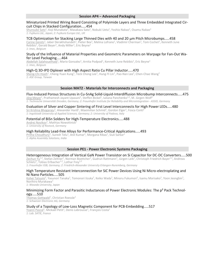#### **Session AP4 – Advanced Packaging**

#### Miniaturized Printed Wiring Board Consisting of Polyimide Layers and Three Embedded Integrated Circuit Chips in Stacked Configuration.....454

 ${\sf Shunsuke\,}$ 5ato $^1$ , Koji Munakata $^2$ , Masakazu Sato $^1$ , Nobuki Ueta $^1$ , Yoshio Nakao $^1$ , Osamu Nakao $^1$ *1: Fujikura Ltd., Japan; 2: Fujikura Europe Ltd., UK* 

#### TCB Optimization for Stacking Large Thinned Dies with 40 and 20 µm Pitch Microbumps.....458

Carine Gerets<sup>1</sup>, Jaber Derakhshandeh<sup>1</sup>, Pieter Bex<sup>1</sup>, Melina Lofrano<sup>1</sup>, Vladimir Cherman<sup>1</sup>, Tom Cochet<sup>1</sup>, Kenneth June Rebibis<sup>1</sup>, Gerald Beyer<sup>1</sup>, Andy Miller<sup>1</sup>, Eric Beyne<sup>1</sup>

*1: Imec, Belgium* 

#### Study of the Influence of Material Properties and Geometric Parameters on Warpage for Fan-Out Wafer Level Packaging.....464

Abdellah Salahouelhadi<sup>1</sup>, Mario Gonzalez<sup>1</sup>, Arnita Podpod<sup>1</sup>, Kenneth June Rebibis<sup>1</sup>, Eric Beyne<sup>1</sup> *1: Imec, Belgium* 

#### High-Q 3D-IPD Diplexer with High Aspect Ratio Cu Pillar Inductor.....470

Sheng-Chi Hsieh<sup>1</sup>, Cheng-Yuan Kung<sup>1</sup>, Teck Chong Lee<sup>1</sup>, Hung-Yi Lin<sup>1</sup>, Pao-Nan Lee<sup>1</sup>, Chen-Chao Wang<sup>1</sup> *1: ASE Group, Taiwan* 

#### **Session MAT2 - Materials for Interconnects and Packaging**

#### Flux-Induced Porous Structures in Cu-SnAg Solid-Liquid-Interdiffusion Microbump Interconnects.....475

<u>Jörg Meyer<sup>1</sup>,</u> Prathamesh Jayant Upasani<sup>1</sup>, Steffen Bickel<sup>1</sup>, Iuliana Panchenko<sup>1,2</sup>, M. Jürgen Wolf<sup>2</sup> *1: Technische Universität Dresden, Germany; 2: Fraunhofer Institute for Reliability and Microintegration - ASSID, Germany* 

#### Evaluation of Silver and Copper Sintering of First Level Interconnects for High Power LEDs.....480 <u>Sri Krishna Bhogaraju<sup>1</sup>,</u> Alexander Hanß<sup>1</sup>, Maximilian Schmid<sup>1</sup>, Gordon Elger<sup>1</sup>, Fosca Conti<sup>2</sup>

*1: Ingolstadt University of Applied Sciences, Germany; 2: University of Padova, Italy* 

#### Potential of BiSn Solders for High-Temperature Electronics.....488

<u>Andrej Novikov<sup>1</sup>, Mathias Nowottnick<sup>1</sup></u>

*1: University of Rostock, Germany* 

#### High Reliability Lead-free Alloys for Performance-Critical Applications.....493

Pritha Choudhury<sup>1</sup>, Suresh Telu<sup>1</sup>, Anil Kumar<sup>1</sup>, Morgana Ribas<sup>1</sup>, Siuli Sarkar<sup>1</sup> *1: Alpha Assembly Solutions, India* 

#### **Session PE1 - Power Electronic Systems Packaging**

#### Heterogeneous Integration of Vertical GaN Power Transistor on Si Capacitor for DC-DC Converters.....500

 $\overline{\text{Zechn}}$ /Stefan Zeltner<sup>1</sup>, Norman Boettcher<sup>1</sup>, Gudrun Rattmann<sup>1</sup>, Jürgen Leib<sup>1</sup>, Christoph Friedrich Bayer<sup>1,2</sup>, Andreas Schletz<sup>1</sup>, Tobias Erlbacher<sup>1,2</sup>, Lothar Frey<sup>1,2</sup>

*1: Fraunhofer IISB, Germany; 2: Friedrich-Alexander University Erlangen-Nuremberg, Germany* 

#### High Temperature Resistant Interconnection for SiC Power Devices Using Ni Micro-electroplating and Ni Nano Particles.....505

<u>Kohei Tatsumi</u><sup>1</sup>, Yasunori Tanaka<sup>1</sup>, Tomonori Iizuka<sup>1</sup>, Keiko Wada<sup>1</sup>, Minoru Fukumori<sup>1</sup>, Isamu Morisako<sup>1</sup>, Yoon Jeongbin<sup>1</sup>, Norihiro Murakawa1

*1: Waseda University, Japan* 

#### Minimizing Form Factor and Parasitic Inductances of Power Electronic Modules: The p<sup>2</sup> Pack Technology.....510

Thomas Gottwald<sup>1</sup>, Christian Roessle<sup>1</sup> *1: Schweizer Electronic AG, Germany* 

#### Study of a Topology of Low-Loss Magnetic Component for PCB-Embedding.....517

<u>Yoann Pascal</u><sup>1</sup>, Mickaël Petit<sup>1</sup>, Denis Labrousse<sup>1</sup>, François Costa<sup>1</sup> *1: Lab. SATIE, France*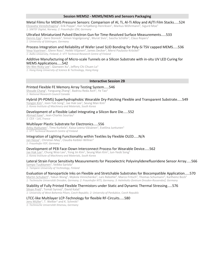#### **Session MEMS2 - MEMS/NEMS and Sensors Packaging**

Metal Films for MEMS Pressure Sensors: Comparison of Al, Ti, Al-Ti Alloy and Al/Ti Film Stacks.....524 Elizaveta Vereshchagina<sup>1</sup>, Erik Poppe<sup>1</sup>, Kari Schjølberg-Henriksen<sup>1</sup>, Markus Wöhrmann<sup>2</sup>, Sigurd Moe<sup>1</sup>

*1: SINTEF Digital, Norway; 2: Fraunhofer IZM, Germany* 

#### Ultrafast Miniaturized Pulsed Electron Gun for Time-Resolved Surface Measurements.....533

Dennis Epp<sup>1</sup>, Gero Storeck<sup>1</sup>, Simon Vogelgesang<sup>1</sup>, Murat Sivis<sup>1</sup>, Sascha Schäfer<sup>1</sup>, Claus Ropers<sup>1</sup> *1: University of Göttingen, Germany* 

#### Process Integration and Reliability of Wafer Level SLID Bonding for Poly-Si TSV capped MEMS.....536

Vesa Vuorinen<sup>1</sup>, Glenn Ross<sup>1</sup>, Heikki Viljanen<sup>2</sup>, James Decker<sup>2</sup>, Mervi Paulasto-Kröckel<sup>1</sup> *1: Aalto University, Finland; 2: VTT Technical Research Centre of Finland* 

#### Additive Manufacturing of Micro-scale Tunnels on a Silicon Substrate with in-situ UV LED Curing for MEMS Applications.....542

 $Sh$ i-Wei Ricky Lee $^1$ , Qianwen Xu $^1$ , Jeffery Chi Chuen Lo $^1$ *1: Hong Kong University of Science & Technology, Hong Kong* 

#### **Interactive Session 2B**

#### Printed Flexible FE Memory Array Testing System.....546

Shoude Chang<sup>1</sup>, Yanguang Zhang<sup>1</sup>, Badrou Reda Aich<sup>1</sup>, Ye Tao<sup>1</sup> *1: National Research Council Canada* 

#### Hybrid (PI-PDMS) Superhydrophobic Wearable Dry-Patching Flexible and Transparent Substrate.....549

<u>Yongjin Kim</u><sup>1</sup>, Joon Yub Song<sup>1</sup>, Jae Hak Lee<sup>1</sup>, Seung Man Kim<sup>1</sup> *1: Korea Institute of Machinery and Materials, South Korea* 

#### Development of a Flexible Label Integrating a Silicon Bare Die.....552

Ahmad Itawi<sup>1</sup>, Jean-Charles Souriau<sup>1</sup> *1: CEA – Leti, France* 

#### Multilayer Plastic Substrate for Electronics.....556

 $\frac{\text{Arttu Huttunen}^{1}}{\text{Autunen}^{1}}$ , Timo Kurkela $^{1}$ , Kaisa-Leena Väisänen $^{1}$ , Eveliina Juntunen $^{1}$ *1: VTT Technical Research Centre of Finland* 

#### Integration of Lighting Functionality within Textiles by Flexible OLED.....N/A

<u>Jan Hesse<sup>1</sup>, Christian May<sup>1</sup>, Claudia Keibler-Willner<sup>1</sup></u> *1: Fraunhofer FEP, Germany* 

#### Development of PEB Face-Down Interconnect Process for Wearable Device.....562

<u>Jae Hak Lee<sup>1</sup>,</u> Chung Woo Lee<sup>1</sup>, Yong Jin Kim<sup>1</sup>, Seung Man Kim<sup>1</sup>, Jun-Yeob Song<sup>1</sup> *1: Korea Institute of Machinery and Materials, South Korea* 

#### Lateral Strain Force Sensitivity Measurements for Piezoelectric Polyvinylidenefluoridene Sensor Array.....566 <u>Sampo Tuukkanen</u><sup>1</sup>, Veikko Sariola<sup>1</sup>

*1: Tampere University of Technology, Finland* 

#### Evaluation of Nanoparticle Inks on Flexible and Stretchable Substrates for Biocompatible Application.....570

Martin Schubert<sup>1</sup>, Yakun Wang<sup>1</sup>, Mykola Vinnichenko<sup>2</sup>, Lars Rebohle<sup>3</sup>, Marco Fritsch<sup>2</sup>, Thomas Schumann<sup>3</sup>, Karlheinz Bock<sup>1</sup> *1: Technische Universität Dresden, Germany; 2: Fraunhofer IKTS, Germany; 3: Helmholtz-Zentrum Dresden-Rossendorf, Germany* 

#### Stability of Fully Printed Flexible Thermistors under Static and Dynamic Thermal Stressing.....576 Silvan Pretl<sup>1</sup>, Tomáš Syrový<sup>2</sup>, David Kalaš<sup>1</sup>

*1: University of West Bohemia Pilsen, Czech Republic; 2: University of Pardubice, Czech Republic* 

#### LTCC-like Multilayer LCP-Technology for flexible RF-Circuits.....580

Jens Müller<sup>1</sup>, T. Welker<sup>1</sup> and K. Schmitt<sup>1</sup> *1: Technische Universität Ilmenau, Germany*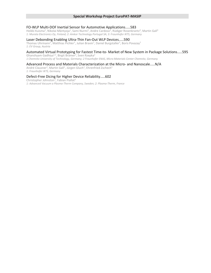#### FO-WLP Multi-DOF Inertial Sensor for Automotive Applications.....583

Heikki Kuisma<sup>1</sup>, Nikolai Mäntyoja<sup>1</sup>, Sami Nurmi<sup>1</sup>, Andre Cardoso<sup>2</sup>, Rüdiger Rosenkrantz<sup>3</sup>, Martin Gall<sup>3</sup> *1: Murata Electronics Oy, Finland; 2: Amkor Technology Portugal SA; 3: Fraunhofer IKTS, Germany* 

#### Laser Debonding Enabling Ultra-Thin Fan-Out WLP Devices.....590

Thomas Uhrmann<sup>1</sup>, Matthias Pichler<sup>1</sup>, Julian Bravin<sup>1</sup>, Daniel Burgstaller<sup>1</sup>, Boris Povazay<sup>1</sup> *1: EV Group, Austria* 

#### Automated Virtual Prototyping for Fastest Time-to- Market of New System in Package Solutions.....595

Ghanshyam Gadhiya<sup>1,2</sup>, Birgit Brämer<sup>2</sup>, Sven Rzepka<sup>2</sup>

*1 Chemnitz University of Technology, Germany; 2 Fraunhofer ENAS, Micro Materials Center Chemnitz, Germany* 

#### Advanced Process and Materials Characterization at the Micro- and Nanoscale.....N/A

André Clausner<sup>1</sup>, Martin Gall<sup>1</sup>, Jürgen Gluch<sup>1</sup>, Ehrenfried Zschech<sup>1</sup> *1: Fraunhofer IKTS, Germany* 

#### Defect-Free Dicing for Higher Device Reliability.....602

Christopher Johnston<sup>1</sup>, Fabian Piallat<sup>2</sup>

*1: Advanced Vacuum a Plasma-Therm Company, Sweden; 2: Plasma-Therm, France*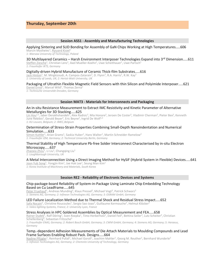## **Thursday, September 20th**

#### **Session ASS1 - Assembly and Manufacturing Technologies**

# Applying Sintering and SLID Bonding for Assembly of GaN Chips Working at High Temperatures.....606

Marcin Mysliwiec<sup>1</sup>, Ryszard Kisiel<sup>1</sup> *1: Warsaw University of Technology, Poland* 

#### 3D Multilayered Ceramics – Harsh Environment Interposer Technologies Expand into  $3<sup>rd</sup>$  Dimension.....611

Steffen Ziesche<sup>1</sup>, Christian Lenz<sup>1</sup>, Axel Mueller-Koehn<sup>1</sup>, Uwe Scheithauer<sup>1</sup>, Uwe Partsch<sup>1</sup> *1: Fraunhofer IKTS, Germany* 

#### Digitally-driven Hybrid Manufacture of Ceramic Thick-film Substrates.....616

J<u>ack Hinton<sup>1</sup>,</u> M. Mirgkizoudi, A. Campos-Zatarain<sup>2</sup>, D. Flynn<sup>2</sup>, R.A. Harris<sup>1</sup>, R.W. Kay<sup>1</sup> *1: University of Leeds, UK; 2: Heriot-Watt University, UK* 

Packaging of Ultrathin Flexible Magnetic Field Sensors with thin Silicon and Polyimide Interposer.....621 Daniel Ernst<sup>1</sup>, Marcel Wild<sup>1</sup>, Thomas Zerna<sup>1</sup>

*1: Technische Universität Dresden, Germany* 

#### **Session MAT3 - Materials for Interconnects and Packaging**

#### An in-situ Resistance Measurement to Extract IMC Resistivity and Kinetic Parameter of Alternative Metallurgies for 3D Stacking.....625

Lin Hou<sup>1,2</sup>, Jaber Derakhshandeh<sup>7</sup>, Alex Radisic<sup>2</sup>, Mia Honore<sup>2</sup>, Jeroen De Coster<sup>2</sup>, Vladimir Cherman<sup>2</sup>, Pieter Bex<sup>2</sup>, Kenneth June Rebibis<sup>2</sup>, Gerald Beyer<sup>2</sup>, Eric Beyne<sup>2</sup>, Ingrid De Wolf<sup>1,2</sup> *1: KU Leuven, Belgium; 2: IMEC,Belgium* 

#### Determination of Stress-Strain Properties Combining Small-Depth Nanoindentation and Numerical Simulation.....633

Simon Kuttler<sup>1</sup>, Arian Grams<sup>1</sup>, Saskia Huber<sup>1</sup>, Hans Walter<sup>1</sup>, Martin Schneider-Ramelow<sup>2</sup> *1: Fraunhofer IZM, Germany; 2: Technical University Berlin, Germany* 

#### Thermal Stability of High Temperature Pb-free Solder Interconnect Characterised by in-situ Electron Microscopy.....637

Zhaoxia Zhou<sup>1</sup>, Li Liu<sup>1</sup>, Changqing Liu<sup>1</sup> *1: Loughborough University, UK* 

#### A Metal Interconnection Using a Direct Imaging Method for HySiF (Hybrid System in Flexible) Devices.....641 J<u>oon Yub Song</u><sup>1</sup>, Yongjin Kim<sup>1</sup>, Jae Hak Lee<sup>1</sup>, Seung Man Kim<sup>1</sup>

*1: Korea Institute of Machinery and Materials, South Korea* 

#### **Session RE2 - Reliability of Electronic Devices and Systems**

#### Chip-package-board Reliability of System-in-Package Using Laminate Chip Embedding Technology Based on Cu Leadframe.....645

Peter Fruehauf<sup>1</sup>, Andreas Munding<sup>2</sup>, Klaus Pressel<sup>2</sup>, Michael Vogt<sup>3</sup>, Patrick Schwarz<sup>2</sup> *1: Siemens AG, Germany; 2: Infineon Technologies AG, Germany; 3: OSRAM GmbH, Germany* 

#### LED Failure Localization Method due to Thermal Shock and Residual Stress Impact.....652

Safa Nocairi<sup>1</sup>, Christine Roucoules<sup>1</sup>, Sergio Sao-Joao<sup>2</sup>, Guillaume Kermouche<sup>2</sup>, Helmut Klöcker<sup>2</sup> *1: Valeo lighting Systems, France; 2: University Lyon, France* 

Stress Analyses in HPC-Soldered Assemblies by Optical Measurement and FEA.....658

Rainer Dudek<sup>1</sup>, Ralf Döring<sup>1</sup>, Sven Rzepka<sup>1</sup>, Timo Herberholz<sup>2</sup>, Daniel Feil<sup>2</sup>, Bettina Seiler<sup>3</sup>, Lutz Scheiter<sup>3</sup>, Christian Schellenberg<sup>4</sup>, Sebastian Fritzsche<sup>5</sup>

*1: Fraunhofer ENAS, Germany; 2: Robert Bosch GmbH, Germany; 3: CWM GmbH, Germany; 4: Siemens AG; Germany; 5: Heraeus, Germany* 

#### Temp.-dependent Adhesion Measurements of Die Attach Materials to Moulding Compounds and Lead Frame Surfaces Enabling Robust Pack. Designs.....664

Nadine Pflügler<sup>1</sup>, Reinhard Pufall<sup>1</sup>, Michael Goroll<sup>1</sup>, Joachim Mahler<sup>1</sup>, Georg M. Reuther<sup>1</sup>, Bernhard Wunderle<sup>2</sup> *1: Infineon Technologies AG, Germany; 2: Chemnitz University of Technology, Germany*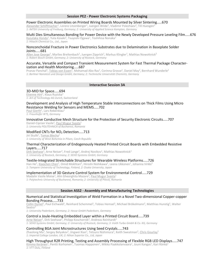#### **Session PE2 - Power Electronic Systems Packaging**

#### Power Electronic Assemblies on Printed Wiring Boards Mounted by Silver Sintering.....670

Alexander Schiffmacher<sup>1</sup>, Lorenz Litzenberger<sup>1</sup>, Juergen Wilde<sup>1</sup>, Vladimir Polezhaev<sup>2</sup>, Till Huesgen<sup>2</sup> *1: IMTEK University of Freiburg, Germany; 2: University of Applied Science Kempten, Germany* 

#### Multi Dies Simultaneous Bonding for Power Device with the Newly Developed Pressure Leveling Film.....676

<u>Kazutaka Honda<sup>1</sup>, Yuta Koseki<sup>1</sup>, Tsuyoshi Ogawa<sup>1</sup>, Toshihisa Nonaka<sup>1</sup></u> *1: Hitachi Chemical Co., Ltd., Japan* 

#### Nonconchoidal Fracture in Power Electronics Substrates due to Delamination in Baseplate Solder Joints.....681

Allen Jose George<sup>1</sup>, Marlies Breitenbach<sup>1</sup>, Juergen Zipprich<sup>1</sup>, Markus Klingler<sup>1</sup>, Mathias Nowottnick<sup>2</sup> *1: Robert Bosch GmbH, Germany; 2: University of Rostock, Germany* 

#### Accurate, Versatile and Compact Transient Measurement System for Fast Thermal Package Characterization and Health Monitoring.....687

Pranav Panchal<sup>1</sup>, Tobias von Essen<sup>1</sup>, Mohamad Abo Ras<sup>1</sup>, Corinna Grosse<sup>1</sup>, Daniel May<sup>2</sup>, Bernhard Wunderle<sup>2</sup> *1: Berliner Nanotest und Design GmbH, Germany; 2: Technische Universität Chemnitz, Germany* 

#### **Interactive Session 3A**

#### 3D-MID for Space.....694

Etienne Hirt<sup>1</sup>, Klaus Ruzicka<sup>1</sup> *1: Art of Technology AG Zurich, Switzerland* 

## Development and Analysis of High Temperature Stable Interconnections on Thick Films Using Micro Resistance Welding for Sensors and MEMS.....702

Paul Gierth<sup>1</sup>, Lars Rebenklau<sup>1</sup> *1: Fraunhofer IKTS, Germany* 

#### Innovative Conductive Mesh Structure for the Protection of Security Electronic Circuits.....707

Daniel-Ciprian Vasile<sup>1</sup>, **Paul Mugur Svasta**<sup>1</sup> *1: University POLITEHNICA of Bucharest, Romania* 

# Modified CNTs for NO2 Detection.....713

Jiri Stulik<sup>1</sup>, <u>Tomas Blecha</u><sup>1</sup> *1: University of West Bohemia in Pilsen, Czech Republic* 

#### Thermal Characterization of Endogenously Heated Printed Circuit Boards with Embedded Resistive Layers.....717

Dirk Seehase<sup>1</sup>, Arne Neiser<sup>2</sup>, Fred Lange<sup>1</sup>, Andrej Novikov<sup>1</sup>, Mathias Nowottnick<sup>1</sup> *1: University of Rostock, Germany; 2: SEHO Systems GmbH, Germany* 

#### Textile-Integrated Stretchable Structures for Wearable Wireless Platforms.....726

Han He<sup>1</sup>, <u>Xiaochen Chen</u><sup>1</sup>, Omid Mokhtari<sup>2</sup>, Hiroshi Nishikawa<sup>2</sup>, Leena Ukkonen<sup>1</sup>, Johanna Virkki<sup>1</sup> *1: Tampere University of Technology, Finland, 2: Osaka University, Japan* 

#### Implementation of 3D Gesture Control System for Environmental Control.....729

Madalin Vasile Moise<sup>1</sup>, Alin Gheorghita Mazare<sup>2</sup>, Paul Mugur Svasta<sup>1</sup> *1: Polytechnic University of Bucharest, Romania; 2: University of Pitesti, Romania* 

#### **Session ASS2 - Assembly and Manufacturing Technologies**

#### Numerical and Statistical Investigation of Weld Formation in a Novel Two-dimensional Copper-copper Bonding Process.....733

Collin Dymel<sup>1</sup>, Paul Eichwald<sup>1</sup>, Reinhard Schemmel<sup>1</sup>, Tobias Hemsel<sup>1</sup>, Michael Brökelmann<sup>2</sup>, Matthias Hunstig<sup>2</sup>, Walter Sextro<sup>1</sup>

*1: University Paderborn, Germany; 2: Hesse GmbH Paderborn, Germany* 

#### Control a Joule-Heating Embedded Layer within a Printed Circuit Board.....739

<u>Arne Neiser</u><sup>1</sup>, Dirk Seehase<sup>2</sup>, Philipp Koschorrek<sup>3</sup>, Andreas Reinhardt<sup>1</sup> *1: SEHO Systems GmbH, Germany; 2: University of Rostock, Germany; 3: Voith Turbo GmbH & Co. KG, Germany* 

#### Controlling BGA Joint Microstructures Using Seed Crystals.....743

Zhaolong Ma<sup>1</sup>, Sergey Belyakov<sup>1</sup>, Jingwei Xian<sup>1</sup>, Tetsuro Nishimura<sup>2</sup>, Keith Sweatman<sup>2</sup>, <u>Chris Gourlay</u><sup>1</sup> *1: Imperial College London, UK; 2: Nihon Superior Co., Ltd, Japan* 

#### High Throughput R2R Printing, Testing and Assembly Processing of Flexible RGB LED Displays.....747

<u>Kimmo Keränen<sup>1</sup>, Pentti Korhonen<sup>1</sup>, Tuomas Happonen<sup>1</sup>, Mikko Paakkolanvaara<sup>1</sup>, Jouni Kangas<sup>1</sup>, Kari Rönkä<sup>1</sup></u> *1: VTT Oulu, Finland*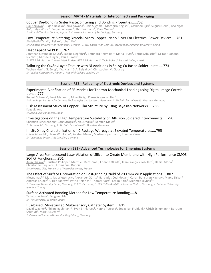#### **Session MAT4 - Materials for Interconnects and Packaging**

#### Copper Die-Bonding Sinter Paste: Sintering and Bonding Properties.....752

Dai Ishikawa<sup>1</sup>, Hideo Nakako<sup>1</sup>, Yuki Kawana<sup>1</sup>, Chie Sugama<sup>1</sup>, Motohiro Negishi<sup>1</sup>, Yoshinori Ejiri<sup>1</sup>, Suguru Ueda<sup>1</sup>, Bao Ngoc An<sup>2</sup>, Helge Wurst<sup>2</sup>, Benjamin Leyrer<sup>2</sup>, Thomas Blank<sup>2</sup>, Marc Weber<sup>2</sup> *1: Hitachi Chemical Co. Ltd., Japan; 2: Karlsruhe Institute of Technology, Germany* 

#### Low-Temperature Sintering Bimodal Micro Copper- Nano Silver For Electrical Power Devices.....761

<u>Abdelhafid Zehri</u><sup>1</sup>, Lilei Ye<sup>2</sup>, Johan Liu<sup>1,3</sup>

*1: Chalmers University of Technology, Sweden; 2: SHT Smart High Tech AB, Sweden; 3: Shanghai University, China* 

#### Heat Capacitive PCB.....767

Jonathan Silvano de Sousa<sup>1</sup>, <u>Sabine Liebfahrt</u><sup>1</sup>, Bernhard Reitmaier<sup>1</sup>, Maria Prutti<sup>1</sup>, Bernd Schuscha<sup>2</sup>, Qi Tao<sup>1</sup>, Johann Nicolics<sup>3</sup>, Michael Unger<sup>3</sup>, Paul Fulmek<sup>3</sup>

*1: AT&S AG, Austria; 2: Associated Student AT&S AG, Austria; 3: Technische Universität Wien, Austria* 

#### Tailoring the Cu<sub>6</sub>Sn<sub>5</sub> Layer Texture with Ni Additions in Sn-Ag-Cu Based Solder Joints.....773

Yuchen Hsu<sup>1,2</sup>, G. Zeng<sup>2</sup>, J.W. Xian<sup>2</sup>, S.A. Belyakov<sup>2</sup>, Christopher M. Gourlay<sup>2</sup> *1: Toshiba Corporation, Japan; 2: Imperial College London, UK* 

## **Session RE3 - Reliability of Electronic Devices and Systems**

#### Experimental Verification of FE-Models for Thermo-Mechanical Loading using Digital Image Correlation.....777

Robert Schwerz<sup>1</sup>, René Metasch<sup>1</sup>, Mike Röllig<sup>1</sup>, Klaus-Jürgen Wolter<sup>2</sup> *1: Fraunhofer Institute for Ceramic Technologies and Systems, Germany; 2: Technische Universität Dresden, Germany* 

#### Risk Assessment Study of Copper Pillar Structure by using Bayesian Networks.....785

Kazuaki Ano<sup>1</sup> *1: Dialog Semiconductor, Japan* 

#### Investigations on the High Temperature Suitability of Diffusion Soldered Interconnects.....790

Christian Schellenberg<sup>1</sup>, Jörg Strogies<sup>1</sup>, Klaus Wilke<sup>1</sup>, Karsten Meier<sup>2</sup> *1: Siemens AG, Germany; 2: Technische Universität Dresden, Germany* 

#### In-situ X-ray Characterization of IC Package Warpage at Elevated Temperatures.....795

Oliver Albrecht<sup>1</sup>, Heinz Wohlrabe<sup>1</sup>, Karsten Meier<sup>1</sup>, Martin Oppermann<sup>1</sup>, Thomas Zerna<sup>1</sup>

*1: Technische Universität Dresden, Germany* 

#### **Session ES1 - Advanced Technologies for Emerging Systems**

#### Large-Area Femtosecond Laser Ablation of Silicon to Create Membrane with High Performance CMOS-SOI RF Functions.....801

Arun Bhaskar<sup>1,2</sup>, Justine Philippe<sup>1</sup>, Matthieu Berthomé<sup>1</sup>, Etienne Okada<sup>1</sup>, Jean-François Robillard<sup>1</sup>, Daniel Gloria<sup>2</sup>, Christophe Gaquière<sup>1</sup>, Emmanuel Dubois<sup>1</sup>

*1: University Lille, France; 2: STMicroelectronics, France* 

#### The Effect of Surface Optimization on Post-grinding Yield of 200 mm WLP Applications.....807

Mesut Inac<sup>1,2</sup>, Matthias Wietstruck<sup>2</sup>, Alexander Göritz<sup>2</sup>, Barbados Cetindogan<sup>2</sup>, Canan Baristiran-Kaynak<sup>2</sup>, Marco Lisker<sup>2</sup>, Andreas Krüger<sup>2</sup>, Ulrike Saarow<sup>2</sup>, Patric Heinrich<sup>2</sup>, Thomas Voss<sup>2</sup>, Kasim Altin<sup>3</sup>, Mehmet Kaynak<sup>2,4</sup> *1: Technical University Berlin, Germany; 2: IHP, Germany; 3: PVA TePla Analytical Systems GmbH, Germany; 4: Sabanci University Istanbul, Turkey* 

#### Surface Activated Bonding Method for Low Temperature Bonding.....811

<u>Tadatomo Suga<sup>1</sup>,</u> Fengwen Mu<sup>1</sup> *1: The University of Tokyo, Japan* 

#### Bus-based, Miniaturized Multi-sensory Catheter System.....815

David Wagner<sup>1</sup>, Philipp Bachmann<sup>1</sup>, Sven Brinkhues<sup>1</sup>, Hanna Petrova<sup>1</sup>, Sebastian Freidank<sup>1</sup>, Ulrich Schumann<sup>1</sup>, Bertram Schmidt<sup>1</sup>, Markus Detert<sup>1</sup>

*1: Otto-von-Guericke-University Magdeburg, Germany*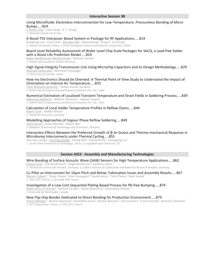#### **Interactive Session 3B**

#### Using Microfluidic Electroless Interconnection for Low-Temperature, Pressureless Bonding of Micro Bumps.....N/A

C Robert Kao<sup>1</sup>, Sean Yang<sup>1</sup>, H. T. Hung<sup>1</sup> *1: National Taiwan University* 

### A Novel TSV Interposer Based System-in-Package for RF Applications.....819

Rongfeng Luo<sup>1</sup>, Yuan Chai<sup>1</sup>, Shenglin Ma<sup>1</sup>, Xiaoyuzhang<sup>2</sup>, Feng Ji<sup>2</sup>, Qi Zhong<sup>2</sup> *1: Xiamen University, China; 2: China Aerospace Science and Industry Corporation, China* 

#### Board Level Reliability Assessment of Wafer Level Chip Scale Packages for SACQ, a Lead-free Solder with a Novel Life Prediction Model.....824

Balaji Nandhivaram Muthuraman<sup>1</sup>, Baltazar Canete<sup>1</sup> *1: Dialog Semiconductor GmbH, Germany* 

#### High Signal Integrity Transmission Line Using Microchip Capacitors and its Design Methodology.....829

Shumpei Matsuoka<sup>1</sup>, Moritoshi Yasunaga<sup>1</sup> *1: University of Tsukuba, Japan* 

#### How my Electronics Should be Oriented: A Thermal Point of View Study to Understand the Impact of Orientation on Internal Air Temperature.....833

<u>Tejas Manohar Kesarkar</u><sup>1</sup>, Nitesh Kumar Sardana<sup>1</sup> *1: Robert Bosch Engineering and Business Solutions Pvt. Ltd., India* 

#### Numerical Estimation of Localized Transient Temperature and Strain Fields in Soldering Process.....839 <u>Abhiroop Satheesh<sup>1</sup>, Midhun Kattisseri<sup>1</sup>, Vijeesh Vijayan<sup>1</sup></u>

*1: Robert Bosch Engineering and Business Solutions Pvt. Ltd., India* 

#### Calculation of Local Solder Temperature Profiles in Reflow Ovens.....844

Adam Yuile<sup>1</sup>, Steffen Wiese<sup>1</sup>

# *1: Saarland University, Germany*

#### Modelling Approaches of Vapour Phase Reflow Soldering.....849

<u>Attila Géczy<sup>1</sup>, István Bozsóki<sup>1</sup>, Balázs Illés<sup>1</sup></u> *1: Budapest University of Technology and Economics, Hungary* 

#### Interaction Effects Between the Preferred Growth of  $\beta$ -Sn Grains and Thermo-mechanical Response in Microbump Interconnects under Thermal Cycling.....855

Shui-Bao Liang<sup>1,2</sup>, <u>Xin-Ping Zhang</u><sup>1</sup>, Cheng Wei<sup>1</sup>, Chang-Bo Ke<sup>1</sup>, Changqing Liu<sup>2</sup> *1: South China University of Technology, China; 2: Loughborough University, UK* 

#### **Session ASS3 - Assembly and Manufacturing Technologies**

# Wire Bonding of Surface Acoustic Wave (SAW) Sensors for High Temperature Applications.....862

Daniel Ernst<sup>1</sup>, Erik Brachmann<sup>2</sup>, Siegfried Menzel<sup>2</sup>, Karlheinz Bock<sup>1</sup> *1: Technische Universität Dresden, Germany; 2: Leibniz Institute for Solid State and Materials Research Dresden, Germany* 

#### Cu Pillar as Interconnect for 10ʅm Pitch and Below: Fabrication Issues and Assembly Results.....867

Marion Volpert<sup>1</sup>, Divya Taneja<sup>1</sup>, Alain Gueugnot<sup>1</sup>, David Henry<sup>1</sup>, Tarik Chaira<sup>1</sup>, Fiqiri Hodaj<sup>2</sup> *1: CEA, LETI, France; 2: Grenoble INP, France* 

#### Investigation of a Low-Cost Sequential Plating Based Process for Pb-free Bumping.....874

 $\Delta$ bderra $\hbox{him}$  El Amrani $^1$ , Etienne Paradis $^1$ , David Danovitch $^1$ , Dominique Drouin $^1$ *1 Université de Sherbrooke, Canada* 

#### New Flip-chip Bonder Dedicated to Direct Bonding for Production Environment.....879

Pascal Metzger<sup>1</sup>, Nicolas Raynaud<sup>1</sup>, Amandine Jouve<sup>2</sup>, Nicolas Bresson<sup>2</sup>, Loïc Sanchez<sup>2</sup>, Frank Fournel<sup>2</sup>, Severine Cheramy<sup>2</sup> *1: SET Corporation, France; 2: CEA, LETI, France*